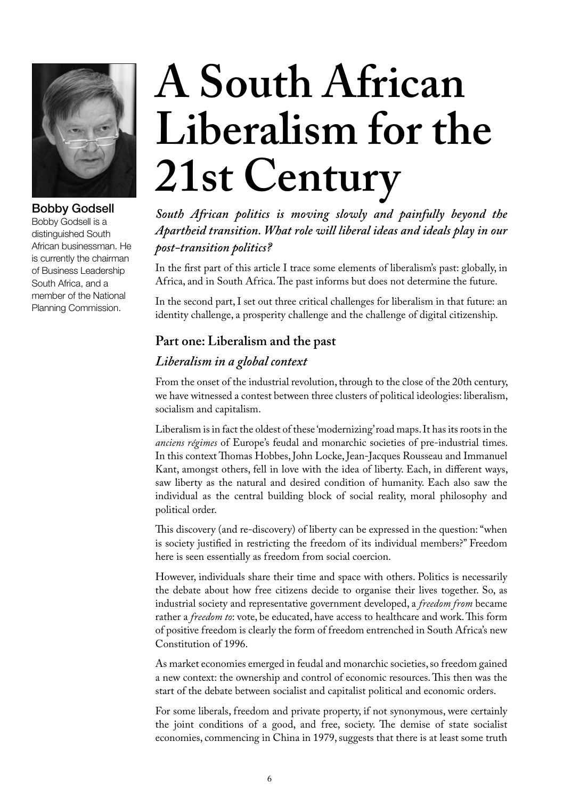

Bobby Godsell Bobby Godsell is a distinguished South African businessman. He is currently the chairman of Business Leadership South Africa, and a member of the National Planning Commission.

# **A South African Liberalism for the 21st Century**

*South African politics is moving slowly and painfully beyond the Apartheid transition. What role will liberal ideas and ideals play in our post-transition politics?* 

In the first part of this article I trace some elements of liberalism's past: globally, in Africa, and in South Africa. The past informs but does not determine the future.

In the second part, I set out three critical challenges for liberalism in that future: an identity challenge, a prosperity challenge and the challenge of digital citizenship.

# **Part one: Liberalism and the past**

## *Liberalism in a global context*

From the onset of the industrial revolution, through to the close of the 20th century, we have witnessed a contest between three clusters of political ideologies: liberalism, socialism and capitalism.

Liberalism is in fact the oldest of these 'modernizing' road maps. It has its roots in the *anciens régimes* of Europe's feudal and monarchic societies of pre-industrial times. In this context Thomas Hobbes, John Locke, Jean-Jacques Rousseau and Immanuel Kant, amongst others, fell in love with the idea of liberty. Each, in different ways, saw liberty as the natural and desired condition of humanity. Each also saw the individual as the central building block of social reality, moral philosophy and political order.

This discovery (and re-discovery) of liberty can be expressed in the question: "when is society justified in restricting the freedom of its individual members?" Freedom here is seen essentially as freedom from social coercion.

However, individuals share their time and space with others. Politics is necessarily the debate about how free citizens decide to organise their lives together. So, as industrial society and representative government developed, a *freedom from* became rather a *freedom to*: vote, be educated, have access to healthcare and work. This form of positive freedom is clearly the form of freedom entrenched in South Africa's new Constitution of 1996.

As market economies emerged in feudal and monarchic societies, so freedom gained a new context: the ownership and control of economic resources. This then was the start of the debate between socialist and capitalist political and economic orders.

For some liberals, freedom and private property, if not synonymous, were certainly the joint conditions of a good, and free, society. The demise of state socialist economies, commencing in China in 1979, suggests that there is at least some truth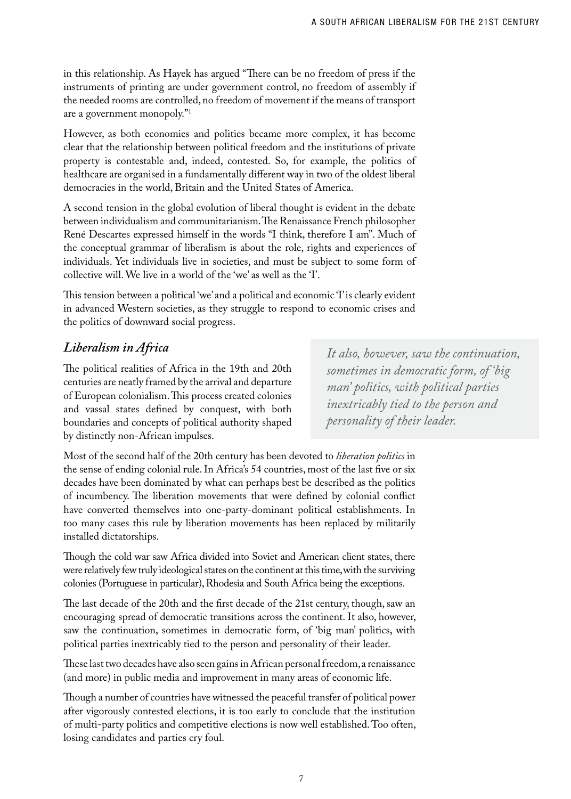in this relationship. As Hayek has argued "There can be no freedom of press if the instruments of printing are under government control, no freedom of assembly if the needed rooms are controlled, no freedom of movement if the means of transport are a government monopoly."1

However, as both economies and polities became more complex, it has become clear that the relationship between political freedom and the institutions of private property is contestable and, indeed, contested. So, for example, the politics of healthcare are organised in a fundamentally different way in two of the oldest liberal democracies in the world, Britain and the United States of America.

A second tension in the global evolution of liberal thought is evident in the debate between individualism and communitarianism. The Renaissance French philosopher René Descartes expressed himself in the words "I think, therefore I am". Much of the conceptual grammar of liberalism is about the role, rights and experiences of individuals. Yet individuals live in societies, and must be subject to some form of collective will. We live in a world of the 'we' as well as the 'I'.

This tension between a political 'we' and a political and economic 'I' is clearly evident in advanced Western societies, as they struggle to respond to economic crises and the politics of downward social progress.

## *Liberalism in Africa*

The political realities of Africa in the 19th and 20th centuries are neatly framed by the arrival and departure of European colonialism. This process created colonies and vassal states defined by conquest, with both boundaries and concepts of political authority shaped by distinctly non-African impulses.

*It also, however, saw the continuation, sometimes in democratic form, of 'big man' politics, with political parties inextricably tied to the person and personality of their leader.*

Most of the second half of the 20th century has been devoted to *liberation politics* in the sense of ending colonial rule. In Africa's 54 countries, most of the last five or six decades have been dominated by what can perhaps best be described as the politics of incumbency. The liberation movements that were defined by colonial conflict have converted themselves into one-party-dominant political establishments. In too many cases this rule by liberation movements has been replaced by militarily installed dictatorships.

Though the cold war saw Africa divided into Soviet and American client states, there were relatively few truly ideological states on the continent at this time, with the surviving colonies (Portuguese in particular), Rhodesia and South Africa being the exceptions.

The last decade of the 20th and the first decade of the 21st century, though, saw an encouraging spread of democratic transitions across the continent. It also, however, saw the continuation, sometimes in democratic form, of 'big man' politics, with political parties inextricably tied to the person and personality of their leader.

These last two decades have also seen gains in African personal freedom, a renaissance (and more) in public media and improvement in many areas of economic life.

Though a number of countries have witnessed the peaceful transfer of political power after vigorously contested elections, it is too early to conclude that the institution of multi-party politics and competitive elections is now well established. Too often, losing candidates and parties cry foul.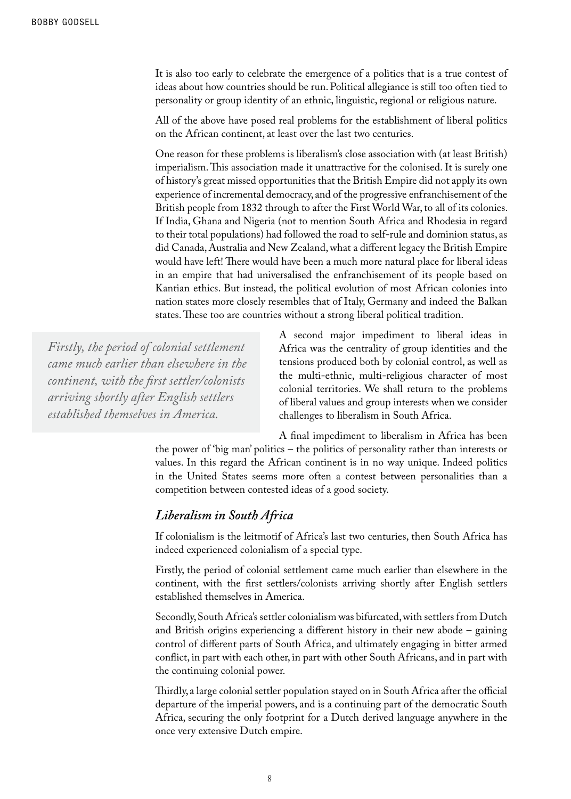It is also too early to celebrate the emergence of a politics that is a true contest of ideas about how countries should be run. Political allegiance is still too often tied to personality or group identity of an ethnic, linguistic, regional or religious nature.

All of the above have posed real problems for the establishment of liberal politics on the African continent, at least over the last two centuries.

One reason for these problems is liberalism's close association with (at least British) imperialism. This association made it unattractive for the colonised. It is surely one of history's great missed opportunities that the British Empire did not apply its own experience of incremental democracy, and of the progressive enfranchisement of the British people from 1832 through to after the First World War, to all of its colonies. If India, Ghana and Nigeria (not to mention South Africa and Rhodesia in regard to their total populations) had followed the road to self-rule and dominion status, as did Canada, Australia and New Zealand, what a different legacy the British Empire would have left! There would have been a much more natural place for liberal ideas in an empire that had universalised the enfranchisement of its people based on Kantian ethics. But instead, the political evolution of most African colonies into nation states more closely resembles that of Italy, Germany and indeed the Balkan states. These too are countries without a strong liberal political tradition.

*Firstly, the period of colonial settlement came much earlier than elsewhere in the continent, with the first settler/colonists arriving shortly after English settlers established themselves in America.*

A second major impediment to liberal ideas in Africa was the centrality of group identities and the tensions produced both by colonial control, as well as the multi-ethnic, multi-religious character of most colonial territories. We shall return to the problems of liberal values and group interests when we consider challenges to liberalism in South Africa.

A final impediment to liberalism in Africa has been the power of 'big man' politics – the politics of personality rather than interests or values. In this regard the African continent is in no way unique. Indeed politics in the United States seems more often a contest between personalities than a competition between contested ideas of a good society.

#### *Liberalism in South Africa*

If colonialism is the leitmotif of Africa's last two centuries, then South Africa has indeed experienced colonialism of a special type.

Firstly, the period of colonial settlement came much earlier than elsewhere in the continent, with the first settlers/colonists arriving shortly after English settlers established themselves in America.

Secondly, South Africa's settler colonialism was bifurcated, with settlers from Dutch and British origins experiencing a different history in their new abode – gaining control of different parts of South Africa, and ultimately engaging in bitter armed conflict, in part with each other, in part with other South Africans, and in part with the continuing colonial power.

Thirdly, a large colonial settler population stayed on in South Africa after the official departure of the imperial powers, and is a continuing part of the democratic South Africa, securing the only footprint for a Dutch derived language anywhere in the once very extensive Dutch empire.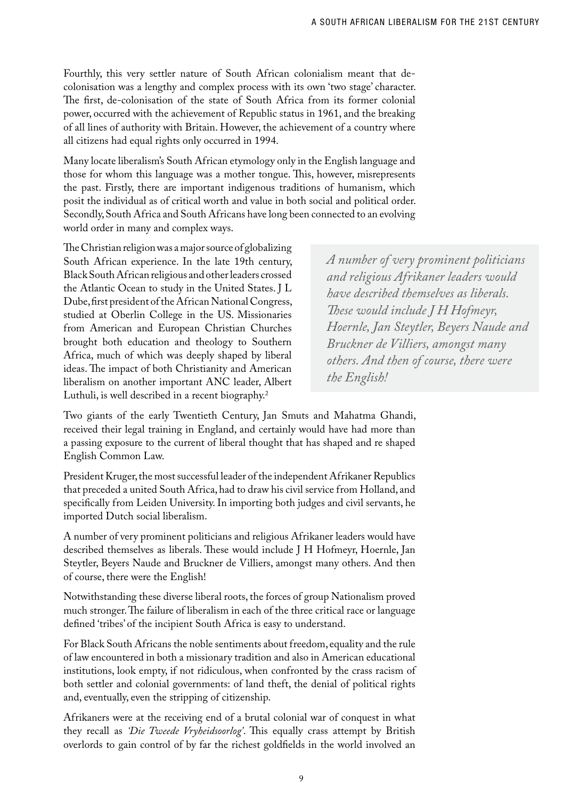Fourthly, this very settler nature of South African colonialism meant that decolonisation was a lengthy and complex process with its own 'two stage' character. The first, de-colonisation of the state of South Africa from its former colonial power, occurred with the achievement of Republic status in 1961, and the breaking of all lines of authority with Britain. However, the achievement of a country where all citizens had equal rights only occurred in 1994.

Many locate liberalism's South African etymology only in the English language and those for whom this language was a mother tongue. This, however, misrepresents the past. Firstly, there are important indigenous traditions of humanism, which posit the individual as of critical worth and value in both social and political order. Secondly, South Africa and South Africans have long been connected to an evolving world order in many and complex ways.

The Christian religion was a major source of globalizing South African experience. In the late 19th century, Black South African religious and other leaders crossed the Atlantic Ocean to study in the United States. J L Dube, first president of the African National Congress, studied at Oberlin College in the US. Missionaries from American and European Christian Churches brought both education and theology to Southern Africa, much of which was deeply shaped by liberal ideas. The impact of both Christianity and American liberalism on another important ANC leader, Albert Luthuli, is well described in a recent biography.<sup>2</sup>

*A number of very prominent politicians and religious Afrikaner leaders would have described themselves as liberals. These would include J H Hofmeyr, Hoernle, Jan Steytler, Beyers Naude and Bruckner de Villiers, amongst many others. And then of course, there were the English!*

Two giants of the early Twentieth Century, Jan Smuts and Mahatma Ghandi, received their legal training in England, and certainly would have had more than a passing exposure to the current of liberal thought that has shaped and re shaped English Common Law.

President Kruger, the most successful leader of the independent Afrikaner Republics that preceded a united South Africa, had to draw his civil service from Holland, and specifically from Leiden University. In importing both judges and civil servants, he imported Dutch social liberalism.

A number of very prominent politicians and religious Afrikaner leaders would have described themselves as liberals. These would include J H Hofmeyr, Hoernle, Jan Steytler, Beyers Naude and Bruckner de Villiers, amongst many others. And then of course, there were the English!

Notwithstanding these diverse liberal roots, the forces of group Nationalism proved much stronger. The failure of liberalism in each of the three critical race or language defined 'tribes' of the incipient South Africa is easy to understand.

For Black South Africans the noble sentiments about freedom, equality and the rule of law encountered in both a missionary tradition and also in American educational institutions, look empty, if not ridiculous, when confronted by the crass racism of both settler and colonial governments: of land theft, the denial of political rights and, eventually, even the stripping of citizenship.

Afrikaners were at the receiving end of a brutal colonial war of conquest in what they recall as *'Die Tweede Vryheidsoorlog'*. This equally crass attempt by British overlords to gain control of by far the richest goldfields in the world involved an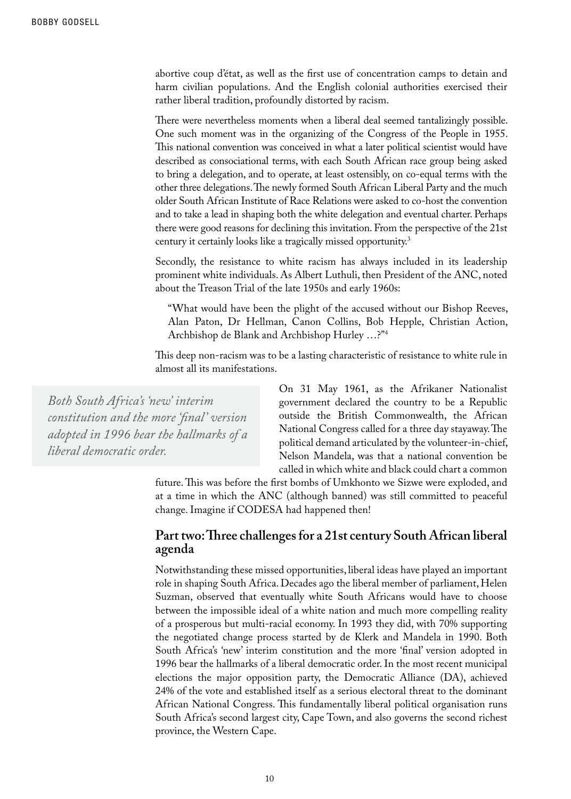abortive coup d'état, as well as the first use of concentration camps to detain and harm civilian populations. And the English colonial authorities exercised their rather liberal tradition, profoundly distorted by racism.

There were nevertheless moments when a liberal deal seemed tantalizingly possible. One such moment was in the organizing of the Congress of the People in 1955. This national convention was conceived in what a later political scientist would have described as consociational terms, with each South African race group being asked to bring a delegation, and to operate, at least ostensibly, on co-equal terms with the other three delegations. The newly formed South African Liberal Party and the much older South African Institute of Race Relations were asked to co-host the convention and to take a lead in shaping both the white delegation and eventual charter. Perhaps there were good reasons for declining this invitation. From the perspective of the 21st century it certainly looks like a tragically missed opportunity.3

Secondly, the resistance to white racism has always included in its leadership prominent white individuals. As Albert Luthuli, then President of the ANC, noted about the Treason Trial of the late 1950s and early 1960s:

"What would have been the plight of the accused without our Bishop Reeves, Alan Paton, Dr Hellman, Canon Collins, Bob Hepple, Christian Action, Archbishop de Blank and Archbishop Hurley …?"4

This deep non-racism was to be a lasting characteristic of resistance to white rule in almost all its manifestations.

*Both South Africa's 'new' interim constitution and the more 'final' version adopted in 1996 bear the hallmarks of a liberal democratic order.*

On 31 May 1961, as the Afrikaner Nationalist government declared the country to be a Republic outside the British Commonwealth, the African National Congress called for a three day stayaway. The political demand articulated by the volunteer-in-chief, Nelson Mandela, was that a national convention be called in which white and black could chart a common

future. This was before the first bombs of Umkhonto we Sizwe were exploded, and at a time in which the ANC (although banned) was still committed to peaceful change. Imagine if CODESA had happened then!

#### **Part two: Three challenges for a 21st century South African liberal agenda**

Notwithstanding these missed opportunities, liberal ideas have played an important role in shaping South Africa. Decades ago the liberal member of parliament, Helen Suzman, observed that eventually white South Africans would have to choose between the impossible ideal of a white nation and much more compelling reality of a prosperous but multi-racial economy. In 1993 they did, with 70% supporting the negotiated change process started by de Klerk and Mandela in 1990. Both South Africa's 'new' interim constitution and the more 'final' version adopted in 1996 bear the hallmarks of a liberal democratic order. In the most recent municipal elections the major opposition party, the Democratic Alliance (DA), achieved 24% of the vote and established itself as a serious electoral threat to the dominant African National Congress. This fundamentally liberal political organisation runs South Africa's second largest city, Cape Town, and also governs the second richest province, the Western Cape.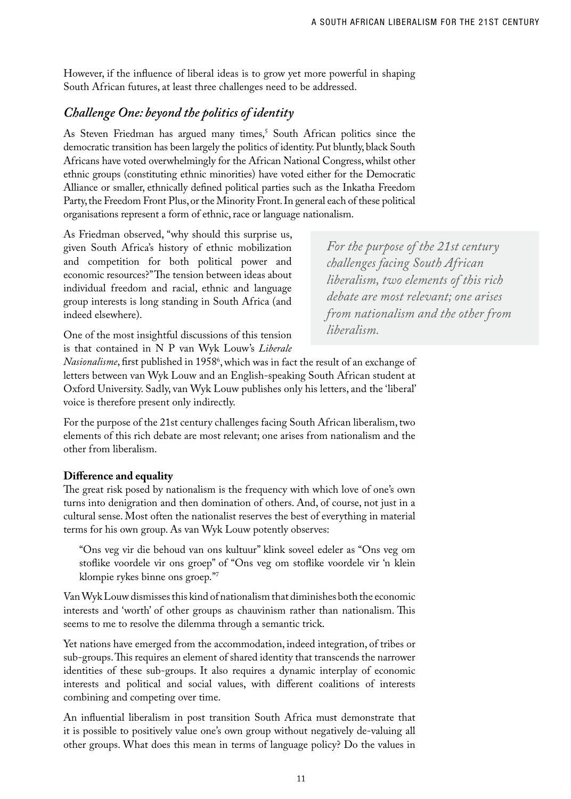However, if the influence of liberal ideas is to grow yet more powerful in shaping South African futures, at least three challenges need to be addressed.

# *Challenge One: beyond the politics of identity*

As Steven Friedman has argued many times,<sup>5</sup> South African politics since the democratic transition has been largely the politics of identity. Put bluntly, black South Africans have voted overwhelmingly for the African National Congress, whilst other ethnic groups (constituting ethnic minorities) have voted either for the Democratic Alliance or smaller, ethnically defined political parties such as the Inkatha Freedom Party, the Freedom Front Plus, or the Minority Front. In general each of these political organisations represent a form of ethnic, race or language nationalism.

As Friedman observed, "why should this surprise us, given South Africa's history of ethnic mobilization and competition for both political power and economic resources?" The tension between ideas about individual freedom and racial, ethnic and language group interests is long standing in South Africa (and indeed elsewhere).

*For the purpose of the 21st century challenges facing South African liberalism, two elements of this rich debate are most relevant; one arises from nationalism and the other from liberalism.*

One of the most insightful discussions of this tension is that contained in N P van Wyk Louw's *Liberale* 

*Nasionalisme*, first published in 1958°, which was in fact the result of an exchange of letters between van Wyk Louw and an English-speaking South African student at Oxford University. Sadly, van Wyk Louw publishes only his letters, and the 'liberal' voice is therefore present only indirectly.

For the purpose of the 21st century challenges facing South African liberalism, two elements of this rich debate are most relevant; one arises from nationalism and the other from liberalism.

### **Difference and equality**

The great risk posed by nationalism is the frequency with which love of one's own turns into denigration and then domination of others. And, of course, not just in a cultural sense. Most often the nationalist reserves the best of everything in material terms for his own group. As van Wyk Louw potently observes:

"Ons veg vir die behoud van ons kultuur" klink soveel edeler as "Ons veg om stoflike voordele vir ons groep" of "Ons veg om stoflike voordele vir 'n klein klompie rykes binne ons groep."7

Van Wyk Louw dismisses this kind of nationalism that diminishes both the economic interests and 'worth' of other groups as chauvinism rather than nationalism. This seems to me to resolve the dilemma through a semantic trick.

Yet nations have emerged from the accommodation, indeed integration, of tribes or sub-groups. This requires an element of shared identity that transcends the narrower identities of these sub-groups. It also requires a dynamic interplay of economic interests and political and social values, with different coalitions of interests combining and competing over time.

An influential liberalism in post transition South Africa must demonstrate that it is possible to positively value one's own group without negatively de-valuing all other groups. What does this mean in terms of language policy? Do the values in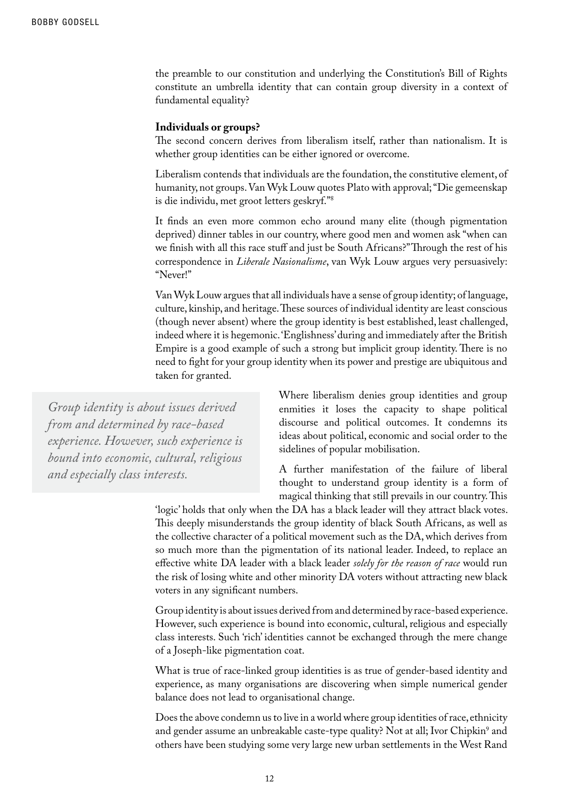the preamble to our constitution and underlying the Constitution's Bill of Rights constitute an umbrella identity that can contain group diversity in a context of fundamental equality?

#### **Individuals or groups?**

The second concern derives from liberalism itself, rather than nationalism. It is whether group identities can be either ignored or overcome.

Liberalism contends that individuals are the foundation, the constitutive element, of humanity, not groups. Van Wyk Louw quotes Plato with approval; "Die gemeenskap is die individu, met groot letters geskryf."8

It finds an even more common echo around many elite (though pigmentation deprived) dinner tables in our country, where good men and women ask "when can we finish with all this race stuff and just be South Africans?" Through the rest of his correspondence in *Liberale Nasionalisme*, van Wyk Louw argues very persuasively: "Never!"

Van Wyk Louw argues that all individuals have a sense of group identity; of language, culture, kinship, and heritage. These sources of individual identity are least conscious (though never absent) where the group identity is best established, least challenged, indeed where it is hegemonic. 'Englishness' during and immediately after the British Empire is a good example of such a strong but implicit group identity. There is no need to fight for your group identity when its power and prestige are ubiquitous and taken for granted.

*Group identity is about issues derived from and determined by race-based experience. However, such experience is bound into economic, cultural, religious and especially class interests.* 

Where liberalism denies group identities and group enmities it loses the capacity to shape political discourse and political outcomes. It condemns its ideas about political, economic and social order to the sidelines of popular mobilisation.

A further manifestation of the failure of liberal thought to understand group identity is a form of magical thinking that still prevails in our country. This

'logic' holds that only when the DA has a black leader will they attract black votes. This deeply misunderstands the group identity of black South Africans, as well as the collective character of a political movement such as the DA, which derives from so much more than the pigmentation of its national leader. Indeed, to replace an effective white DA leader with a black leader *solely for the reason of race* would run the risk of losing white and other minority DA voters without attracting new black voters in any significant numbers.

Group identity is about issues derived from and determined by race-based experience. However, such experience is bound into economic, cultural, religious and especially class interests. Such 'rich' identities cannot be exchanged through the mere change of a Joseph-like pigmentation coat.

What is true of race-linked group identities is as true of gender-based identity and experience, as many organisations are discovering when simple numerical gender balance does not lead to organisational change.

Does the above condemn us to live in a world where group identities of race, ethnicity and gender assume an unbreakable caste-type quality? Not at all; Ivor Chipkin<sup>9</sup> and others have been studying some very large new urban settlements in the West Rand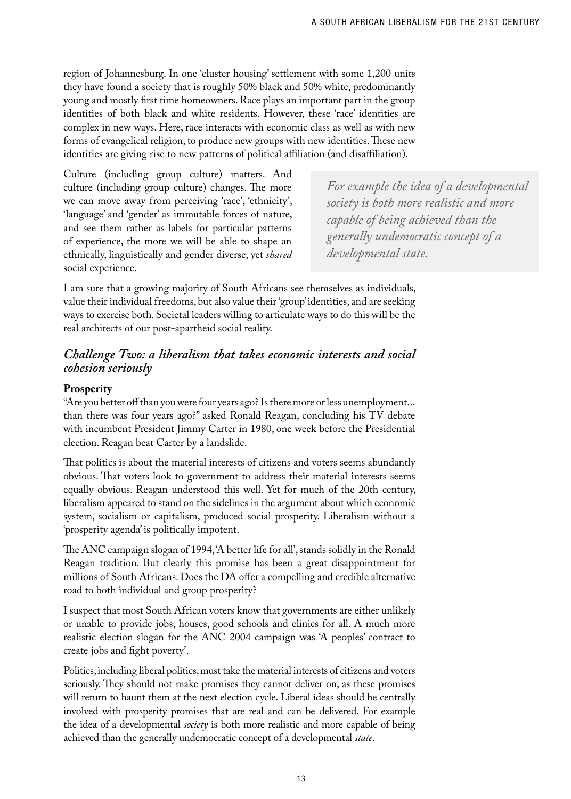region of Johannesburg. In one 'cluster housing' settlement with some 1,200 units they have found a society that is roughly 50% black and 50% white, predominantly young and mostly first time homeowners. Race plays an important part in the group identities of both black and white residents. However, these 'race' identities are complex in new ways. Here, race interacts with economic class as well as with new forms of evangelical religion, to produce new groups with new identities. These new identities are giving rise to new patterns of political affiliation (and disaffiliation).

Culture (including group culture) matters. And culture (including group culture) changes. The more we can move away from perceiving 'race', 'ethnicity', 'language' and 'gender' as immutable forces of nature, and see them rather as labels for particular patterns of experience, the more we will be able to shape an ethnically, linguistically and gender diverse, yet *shared* social experience.

*For example the idea of a developmental society is both more realistic and more capable of being achieved than the generally undemocratic concept of a developmental state.*

I am sure that a growing majority of South Africans see themselves as individuals, value their individual freedoms, but also value their 'group' identities, and are seeking ways to exercise both. Societal leaders willing to articulate ways to do this will be the real architects of our post-apartheid social reality.

#### *Challenge Two: a liberalism that takes economic interests and social cohesion seriously*

#### **Prosperity**

"Are you better off than you were four years ago? Is there more or less unemployment... than there was four years ago?" asked Ronald Reagan, concluding his TV debate with incumbent President Jimmy Carter in 1980, one week before the Presidential election. Reagan beat Carter by a landslide.

That politics is about the material interests of citizens and voters seems abundantly obvious. That voters look to government to address their material interests seems equally obvious. Reagan understood this well. Yet for much of the 20th century, liberalism appeared to stand on the sidelines in the argument about which economic system, socialism or capitalism, produced social prosperity. Liberalism without a 'prosperity agenda' is politically impotent.

The ANC campaign slogan of 1994, 'A better life for all', stands solidly in the Ronald Reagan tradition. But clearly this promise has been a great disappointment for millions of South Africans. Does the DA offer a compelling and credible alternative road to both individual and group prosperity?

I suspect that most South African voters know that governments are either unlikely or unable to provide jobs, houses, good schools and clinics for all. A much more realistic election slogan for the ANC 2004 campaign was 'A peoples' contract to create jobs and fight poverty'.

Politics, including liberal politics, must take the material interests of citizens and voters seriously. They should not make promises they cannot deliver on, as these promises will return to haunt them at the next election cycle. Liberal ideas should be centrally involved with prosperity promises that are real and can be delivered. For example the idea of a developmental *society* is both more realistic and more capable of being achieved than the generally undemocratic concept of a developmental *state*.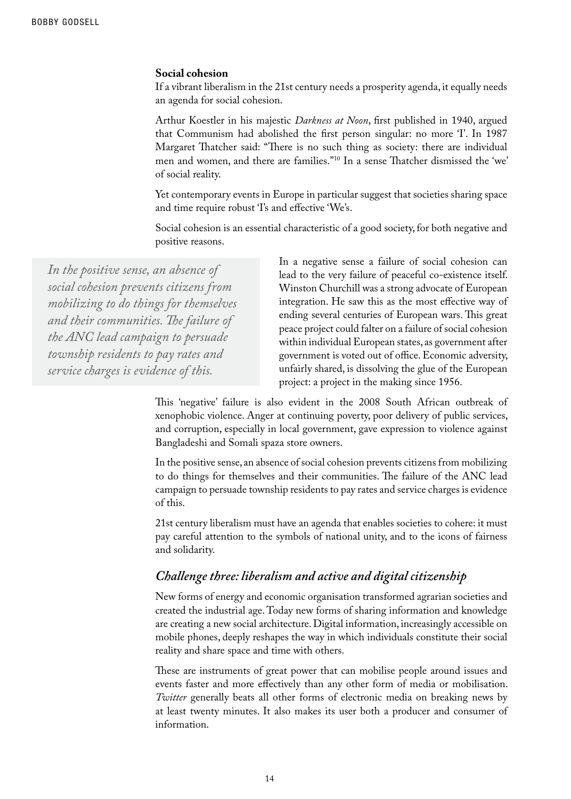#### **Social cohesion**

If a vibrant liberalism in the 21st century needs a prosperity agenda, it equally needs an agenda for social cohesion.

Arthur Koestler in his majestic *Darkness at Noon*, first published in 1940, argued that Communism had abolished the first person singular: no more T. In 1987 Margaret Thatcher said: "There is no such thing as society: there are individual men and women, and there are families."10 In a sense Thatcher dismissed the 'we' of social reality.

Yet contemporary events in Europe in particular suggest that societies sharing space and time require robust 'I's and effective 'We's.

Social cohesion is an essential characteristic of a good society, for both negative and positive reasons.

*In the positive sense, an absence of social cohesion prevents citizens from mobilizing to do things for themselves and their communities. The failure of the ANC lead campaign to persuade township residents to pay rates and service charges is evidence of this.*

In a negative sense a failure of social cohesion can lead to the very failure of peaceful co-existence itself. Winston Churchill was a strong advocate of European integration. He saw this as the most effective way of ending several centuries of European wars. This great peace project could falter on a failure of social cohesion within individual European states, as government after government is voted out of office. Economic adversity, unfairly shared, is dissolving the glue of the European project: a project in the making since 1956.

This 'negative' failure is also evident in the 2008 South African outbreak of xenophobic violence. Anger at continuing poverty, poor delivery of public services, and corruption, especially in local government, gave expression to violence against Bangladeshi and Somali spaza store owners.

In the positive sense, an absence of social cohesion prevents citizens from mobilizing to do things for themselves and their communities. The failure of the ANC lead campaign to persuade township residents to pay rates and service charges is evidence of this.

21st century liberalism must have an agenda that enables societies to cohere: it must pay careful attention to the symbols of national unity, and to the icons of fairness and solidarity.

#### *Challenge three: liberalism and active and digital citizenship*

New forms of energy and economic organisation transformed agrarian societies and created the industrial age. Today new forms of sharing information and knowledge are creating a new social architecture. Digital information, increasingly accessible on mobile phones, deeply reshapes the way in which individuals constitute their social reality and share space and time with others.

These are instruments of great power that can mobilise people around issues and events faster and more effectively than any other form of media or mobilisation. *Twitter* generally beats all other forms of electronic media on breaking news by at least twenty minutes. It also makes its user both a producer and consumer of information.